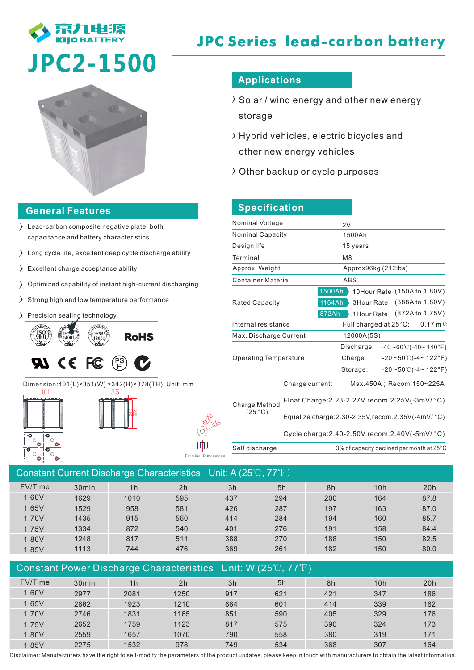

# **JPC Series lead-carbon battery**



#### **General Features**

- Lead-carbon composite negative plate, both capacitance and battery characteristics
- $\sum$  Long cycle life, excellent deep cycle discharge ability
- Excellent charge acceptance ability
- Optimized capability of instant high-current discharging
- $\sum$  Strong high and low temperature performance
- Precision sealing technology



Dimension:401(L)×351(W) ×342(H)×378(TH) Unit: mm

월? 378





Terminal Dimensions

## **Applications**

- $\rightarrow$  Solar / wind energy and other new energy storage
- $\rightarrow$  Hybrid vehicles, electric bicycles and other new energy vehicles
- $\lambda$  Other backup or cycle purposes

| Nominal Voltage                | 2V                                                                                                                   |  |  |  |  |
|--------------------------------|----------------------------------------------------------------------------------------------------------------------|--|--|--|--|
| <b>Nominal Capacity</b>        | 1500Ah                                                                                                               |  |  |  |  |
| Design life                    | 15 years                                                                                                             |  |  |  |  |
| Terminal                       | M <sub>8</sub>                                                                                                       |  |  |  |  |
| Approx. Weight                 | Approx96kg (212lbs)                                                                                                  |  |  |  |  |
| <b>Container Material</b>      | ABS                                                                                                                  |  |  |  |  |
| <b>Rated Capacity</b><br>872Ah | 1500Ah<br>10Hour Rate (150A to 1.80V)<br>(388A to 1.80V)<br>1164Ah<br>3Hour Rate<br>(872A to 1.75V)<br>1Hour Rate    |  |  |  |  |
| Internal resistance            | Full charged at $25^{\circ}$ C:<br>$0.17 \text{ m}\Omega$                                                            |  |  |  |  |
| Max. Discharge Current         | 12000A(5S)                                                                                                           |  |  |  |  |
| <b>Operating Temperature</b>   | Discharge:<br>-40 ~60℃(-40~ 140°F)<br>$-20 - 50^{\circ}$ (-4~ 122°F)<br>Charge:<br>$-20$ ~50°C(-4~122°F)<br>Storage: |  |  |  |  |
| Charge current:                | Max.450A; Recom.150~225A                                                                                             |  |  |  |  |
|                                | Float Charge: 2.23-2.27V, recom. 2.25V(-3mV/ °C)                                                                     |  |  |  |  |
| Charge Method<br>(25 °C)       |                                                                                                                      |  |  |  |  |

Cycle charge:2.40-2.50V,recom.2.40V(-5mV/ °C)

Self discharge 3% of capacity declined per month at 25°C

| Constant Current Discharge Characteristics Unit: A (25°C, 77°F) |                   |                |                |     |     |     |     |      |
|-----------------------------------------------------------------|-------------------|----------------|----------------|-----|-----|-----|-----|------|
| FV/Time                                                         | 30 <sub>min</sub> | 1 <sub>h</sub> | 2 <sub>h</sub> | 3h  | 5h  | 8h  | 10h | 20h  |
| 1.60V                                                           | 1629              | 1010           | 595            | 437 | 294 | 200 | 164 | 87.8 |
| 1.65V                                                           | 1529              | 958            | 581            | 426 | 287 | 197 | 163 | 87.0 |
| 1.70V                                                           | 1435              | 915            | 560            | 414 | 284 | 194 | 160 | 85.7 |
| 1.75V                                                           | 1334              | 872            | 540            | 401 | 276 | 191 | 158 | 84.4 |
| 1.80V                                                           | 1248              | 817            | 511            | 388 | 270 | 188 | 150 | 82.5 |
| 1.85V                                                           | 1113              | 744            | 476            | 369 | 261 | 182 | 150 | 80.0 |
|                                                                 |                   |                |                |     |     |     |     |      |

| Constant Power Discharge Characteristics Unit: W (25 $\mathbb{C}$ , 77 $\mathbb{F}$ ) |                   |                |                |     |     |     |     |     |
|---------------------------------------------------------------------------------------|-------------------|----------------|----------------|-----|-----|-----|-----|-----|
| FV/Time                                                                               | 30 <sub>min</sub> | 1 <sub>h</sub> | 2 <sub>h</sub> | 3h  | 5h  | 8h  | 10h | 20h |
| 1.60V                                                                                 | 2977              | 2081           | 1250           | 917 | 621 | 421 | 347 | 186 |
| 1.65V                                                                                 | 2862              | 1923           | 1210           | 884 | 601 | 414 | 339 | 182 |
| 1.70V                                                                                 | 2746              | 1831           | 1165           | 851 | 590 | 405 | 329 | 176 |
| 1.75V                                                                                 | 2652              | 1759           | 1123           | 817 | 575 | 390 | 324 | 173 |
| 1.80V                                                                                 | 2559              | 1657           | 1070           | 790 | 558 | 380 | 319 | 171 |
| 1.85V                                                                                 | 2275              | 1532           | 978            | 749 | 534 | 368 | 307 | 164 |

Disclaimer: Manufacturers have the right to self-modify the parameters of the product updates, please keep in touch with manufacturers to obtain the latest information.